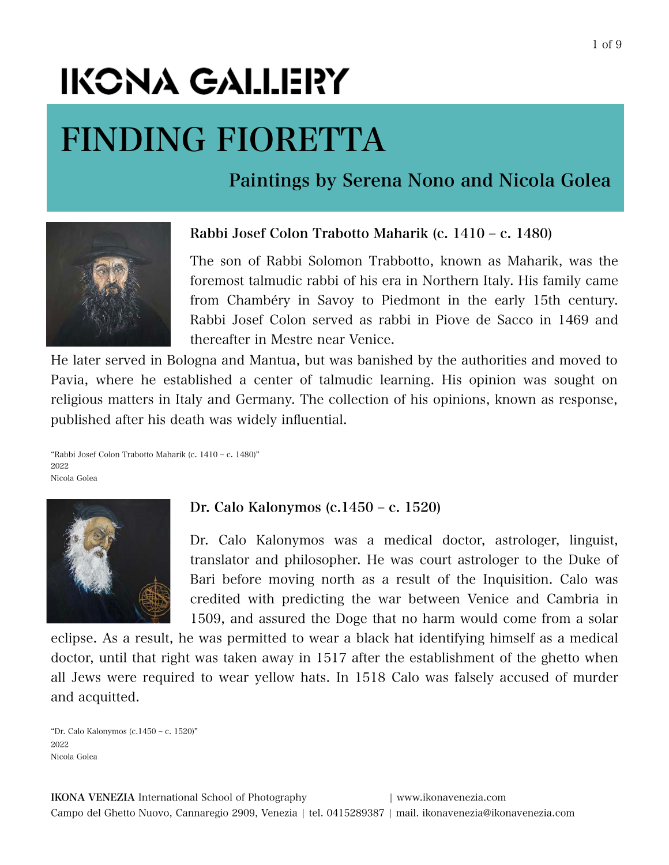# IKCNA GALLERY

## FINDING FIORETTA

Paintings by Serena Nono and Nicola Golea



## Rabbi Josef Colon Trabotto Maharik (c. 1410 ‒ c. 1480)

The son of Rabbi Solomon Trabbotto, known as Maharik, was the foremost talmudic rabbi of his era in Northern Italy. His family came from Chambéry in Savoy to Piedmont in the early 15th century. Rabbi Josef Colon served as rabbi in Piove de Sacco in 1469 and thereafter in Mestre near Venice.

He later served in Bologna and Mantua, but was banished by the authorities and moved to Pavia, where he established a center of talmudic learning. His opinion was sought on religious matters in Italy and Germany. The collection of his opinions, known as response, published after his death was widely influential.

"Rabbi Josef Colon Trabotto Maharik (c. 1410 ‒ c. 1480)" 2022 Nicola Golea



## Dr. Calo Kalonymos (c.1450 ‒ c. 1520)

Dr. Calo Kalonymos was a medical doctor, astrologer, linguist, translator and philosopher. He was court astrologer to the Duke of Bari before moving north as a result of the Inquisition. Calo was credited with predicting the war between Venice and Cambria in 1509, and assured the Doge that no harm would come from a solar

eclipse. As a result, he was permitted to wear a black hat identifying himself as a medical doctor, until that right was taken away in 1517 after the establishment of the ghetto when all Jews were required to wear yellow hats. In 1518 Calo was falsely accused of murder and acquitted.

"Dr. Calo Kalonymos (c.1450 ‒ c. 1520)" 2022 Nicola Golea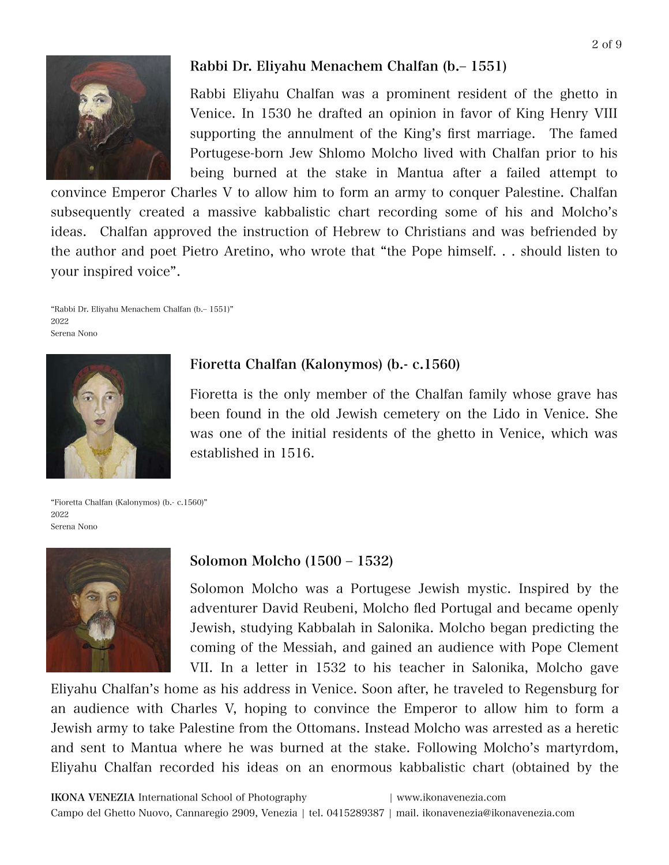

## Rabbi Dr. Eliyahu Menachem Chalfan (b.‒ 1551)

Rabbi Eliyahu Chalfan was a prominent resident of the ghetto in Venice. In 1530 he drafted an opinion in favor of King Henry VIII supporting the annulment of the King's first marriage. The famed Portugese-born Jew Shlomo Molcho lived with Chalfan prior to his being burned at the stake in Mantua after a failed attempt to

convince Emperor Charles V to allow him to form an army to conquer Palestine. Chalfan subsequently created a massive kabbalistic chart recording some of his and Molcho's ideas. Chalfan approved the instruction of Hebrew to Christians and was befriended by the author and poet Pietro Aretino, who wrote that "the Pope himself. . . should listen to your inspired voice".

"Rabbi Dr. Eliyahu Menachem Chalfan (b.‒ 1551)" 2022 Serena Nono



## Fioretta Chalfan (Kalonymos) (b.- c.1560)

Fioretta is the only member of the Chalfan family whose grave has been found in the old Jewish cemetery on the Lido in Venice. She was one of the initial residents of the ghetto in Venice, which was established in 1516.

"Fioretta Chalfan (Kalonymos) (b.- c.1560)" 2022 Serena Nono



#### Solomon Molcho (1500 ‒ 1532)

Solomon Molcho was a Portugese Jewish mystic. Inspired by the adventurer David Reubeni, Molcho fled Portugal and became openly Jewish, studying Kabbalah in Salonika. Molcho began predicting the coming of the Messiah, and gained an audience with Pope Clement VII. In a letter in 1532 to his teacher in Salonika, Molcho gave

Eliyahu Chalfan's home as his address in Venice. Soon after, he traveled to Regensburg for an audience with Charles V, hoping to convince the Emperor to allow him to form a Jewish army to take Palestine from the Ottomans. Instead Molcho was arrested as a heretic and sent to Mantua where he was burned at the stake. Following Molcho's martyrdom, Eliyahu Chalfan recorded his ideas on an enormous kabbalistic chart (obtained by the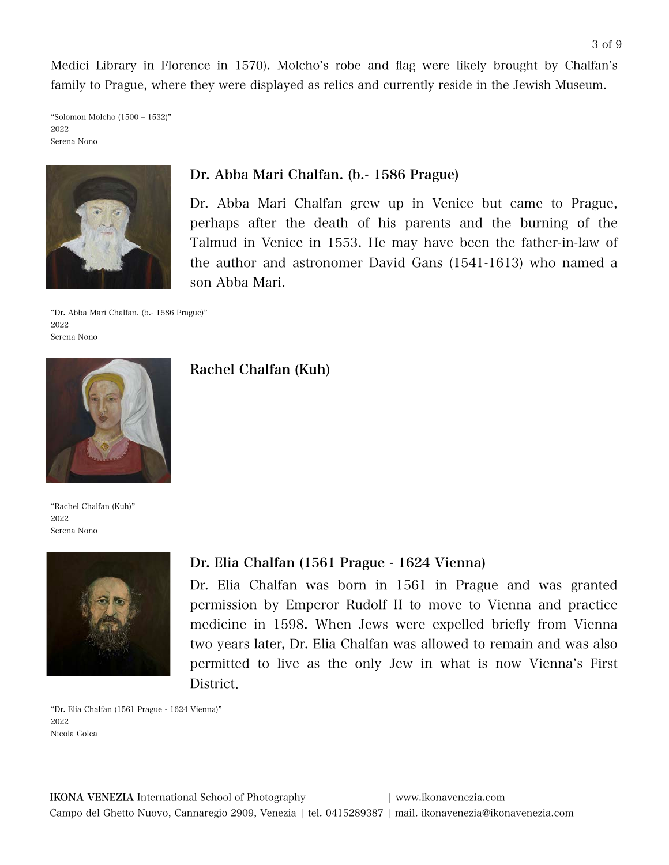Medici Library in Florence in 1570). Molcho's robe and flag were likely brought by Chalfan's family to Prague, where they were displayed as relics and currently reside in the Jewish Museum.

"Solomon Molcho (1500 ‒ 1532)" 2022 Serena Nono



## Dr. Abba Mari Chalfan. (b.- 1586 Prague)

Dr. Abba Mari Chalfan grew up in Venice but came to Prague, perhaps after the death of his parents and the burning of the Talmud in Venice in 1553. He may have been the father-in-law of the author and astronomer David Gans (1541-1613) who named a son Abba Mari.

"Dr. Abba Mari Chalfan. (b.- 1586 Prague)" 2022 Serena Nono



"Rachel Chalfan (Kuh)" 2022 Serena Nono



## Rachel Chalfan (Kuh)

#### Dr. Elia Chalfan (1561 Prague - 1624 Vienna)

Dr. Elia Chalfan was born in 1561 in Prague and was granted permission by Emperor Rudolf II to move to Vienna and practice medicine in 1598. When Jews were expelled briefly from Vienna two years later, Dr. Elia Chalfan was allowed to remain and was also permitted to live as the only Jew in what is now Vienna's First District.

"Dr. Elia Chalfan (1561 Prague - 1624 Vienna)" 2022 Nicola Golea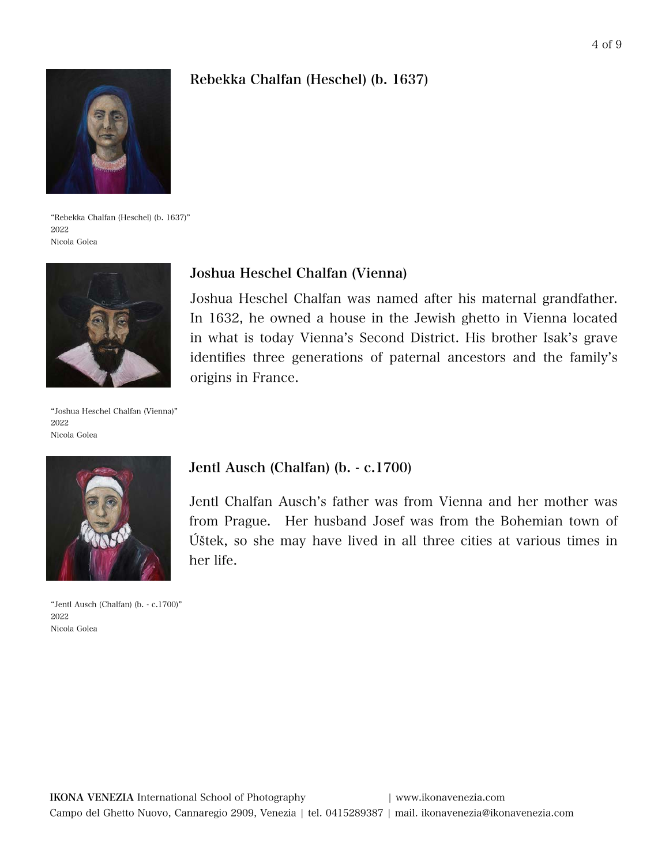## Rebekka Chalfan (Heschel) (b. 1637)



"Rebekka Chalfan (Heschel) (b. 1637)" 2022 Nicola Golea



"Joshua Heschel Chalfan (Vienna)" 2022 Nicola Golea



"Jentl Ausch (Chalfan) (b. - c.1700)" 2022 Nicola Golea

## Joshua Heschel Chalfan (Vienna)

Joshua Heschel Chalfan was named after his maternal grandfather. In 1632, he owned a house in the Jewish ghetto in Vienna located in what is today Vienna's Second District. His brother Isak's grave identifies three generations of paternal ancestors and the family's origins in France.

#### Jentl Ausch (Chalfan) (b. - c.1700)

Jentl Chalfan Ausch's father was from Vienna and her mother was from Prague. Her husband Josef was from the Bohemian town of Úštek, so she may have lived in all three cities at various times in her life.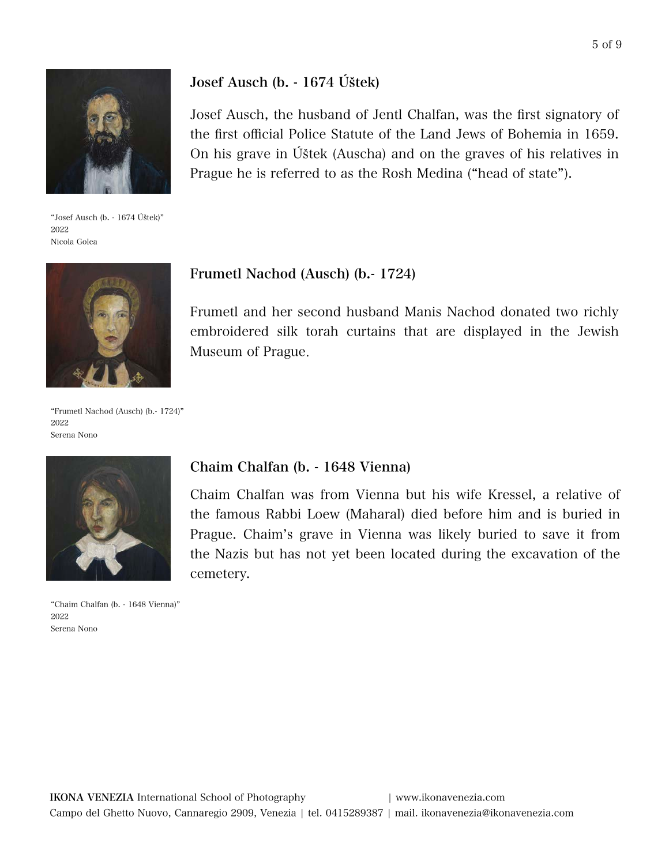

"Josef Ausch (b. - 1674 Úštek)" 2022 Nicola Golea



"Frumetl Nachod (Ausch) (b.- 1724)" 2022 Serena Nono



"Chaim Chalfan (b. - 1648 Vienna)" 2022 Serena Nono

## Josef Ausch (b. - 1674 Úštek)

Josef Ausch, the husband of Jentl Chalfan, was the first signatory of the first official Police Statute of the Land Jews of Bohemia in 1659. On his grave in Úštek (Auscha) and on the graves of his relatives in Prague he is referred to as the Rosh Medina ("head of state").

#### Frumetl Nachod (Ausch) (b.- 1724)

Frumetl and her second husband Manis Nachod donated two richly embroidered silk torah curtains that are displayed in the Jewish Museum of Prague.

#### Chaim Chalfan (b. - 1648 Vienna)

Chaim Chalfan was from Vienna but his wife Kressel, a relative of the famous Rabbi Loew (Maharal) died before him and is buried in Prague. Chaim's grave in Vienna was likely buried to save it from the Nazis but has not yet been located during the excavation of the cemetery.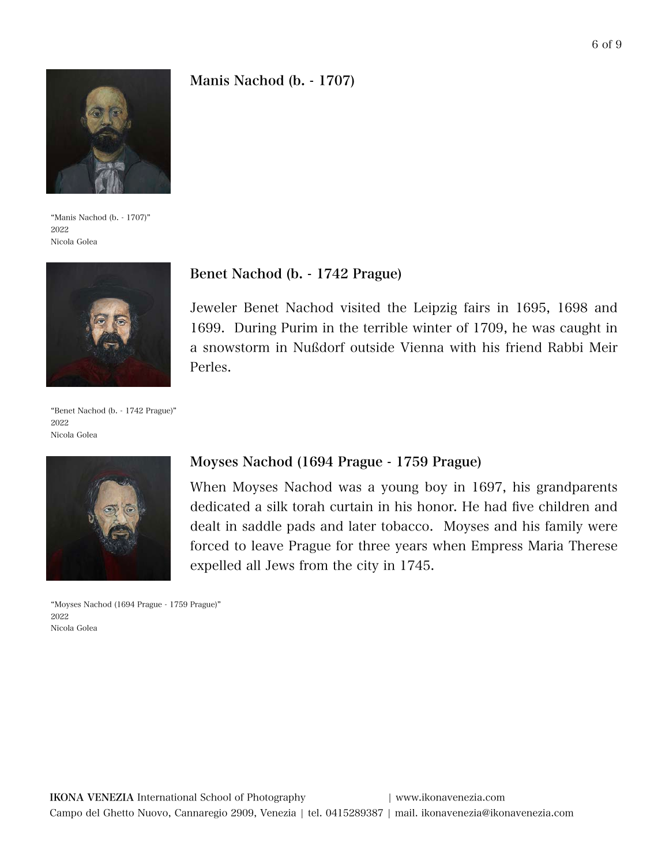## Manis Nachod (b. - 1707)



"Manis Nachod (b. - 1707)" 2022 Nicola Golea



#### Benet Nachod (b. - 1742 Prague)

Jeweler Benet Nachod visited the Leipzig fairs in 1695, 1698 and 1699. During Purim in the terrible winter of 1709, he was caught in a snowstorm in Nußdorf outside Vienna with his friend Rabbi Meir Perles.

"Benet Nachod (b. - 1742 Prague)" 2022 Nicola Golea



"Moyses Nachod (1694 Prague - 1759 Prague)" 2022 Nicola Golea

#### Moyses Nachod (1694 Prague - 1759 Prague)

When Moyses Nachod was a young boy in 1697, his grandparents dedicated a silk torah curtain in his honor. He had five children and dealt in saddle pads and later tobacco. Moyses and his family were forced to leave Prague for three years when Empress Maria Therese expelled all Jews from the city in 1745.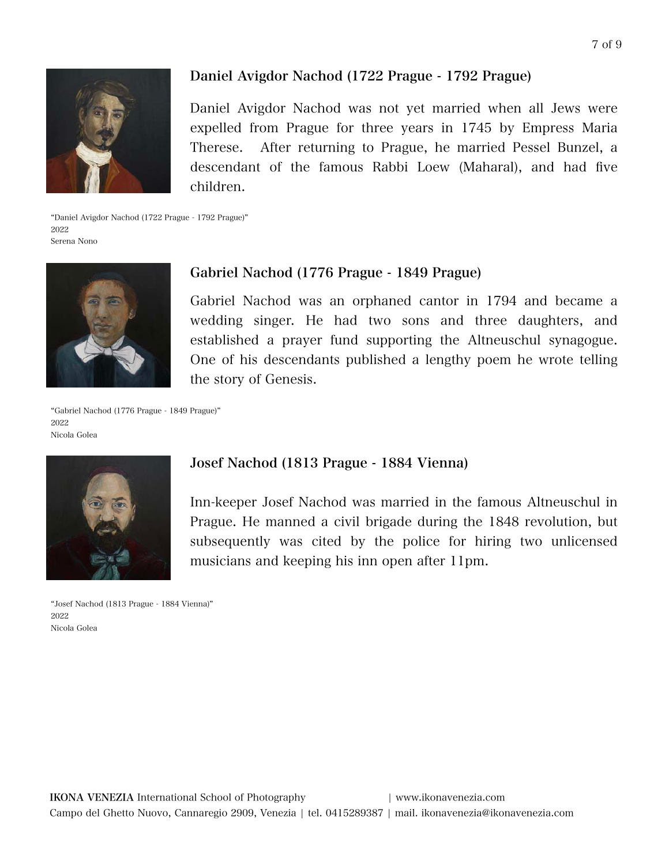

## Daniel Avigdor Nachod (1722 Prague - 1792 Prague)

Daniel Avigdor Nachod was not yet married when all Jews were expelled from Prague for three years in 1745 by Empress Maria Therese. After returning to Prague, he married Pessel Bunzel, a descendant of the famous Rabbi Loew (Maharal), and had five children.

"Daniel Avigdor Nachod (1722 Prague - 1792 Prague)" 2022 Serena Nono



## Gabriel Nachod (1776 Prague - 1849 Prague)

Gabriel Nachod was an orphaned cantor in 1794 and became a wedding singer. He had two sons and three daughters, and established a prayer fund supporting the Altneuschul synagogue. One of his descendants published a lengthy poem he wrote telling the story of Genesis.

"Gabriel Nachod (1776 Prague - 1849 Prague)" 2022 Nicola Golea



"Josef Nachod (1813 Prague - 1884 Vienna)" 2022 Nicola Golea

#### Josef Nachod (1813 Prague - 1884 Vienna)

Inn-keeper Josef Nachod was married in the famous Altneuschul in Prague. He manned a civil brigade during the 1848 revolution, but subsequently was cited by the police for hiring two unlicensed musicians and keeping his inn open after 11pm.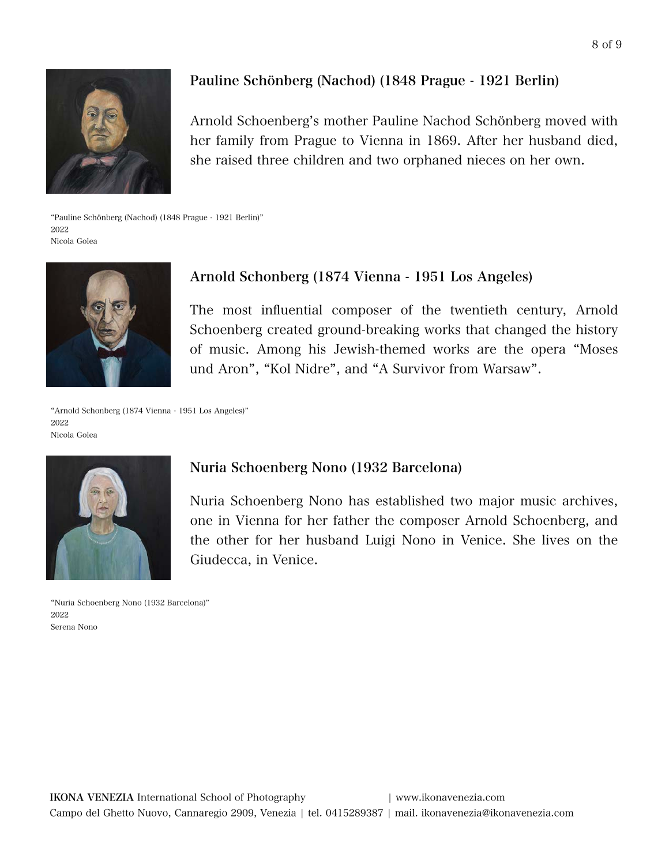

## Pauline Schönberg (Nachod) (1848 Prague - 1921 Berlin)

Arnold Schoenberg's mother Pauline Nachod Schönberg moved with her family from Prague to Vienna in 1869. After her husband died, she raised three children and two orphaned nieces on her own.

"Pauline Schönberg (Nachod) (1848 Prague - 1921 Berlin)" 2022 Nicola Golea



## Arnold Schonberg (1874 Vienna - 1951 Los Angeles)

The most influential composer of the twentieth century, Arnold Schoenberg created ground-breaking works that changed the history of music. Among his Jewish-themed works are the opera "Moses und Aron", "Kol Nidre", and "A Survivor from Warsaw".

"Arnold Schonberg (1874 Vienna - 1951 Los Angeles)" 2022 Nicola Golea



"Nuria Schoenberg Nono (1932 Barcelona)" 2022 Serena Nono

#### Nuria Schoenberg Nono (1932 Barcelona)

Nuria Schoenberg Nono has established two major music archives, one in Vienna for her father the composer Arnold Schoenberg, and the other for her husband Luigi Nono in Venice. She lives on the Giudecca, in Venice.